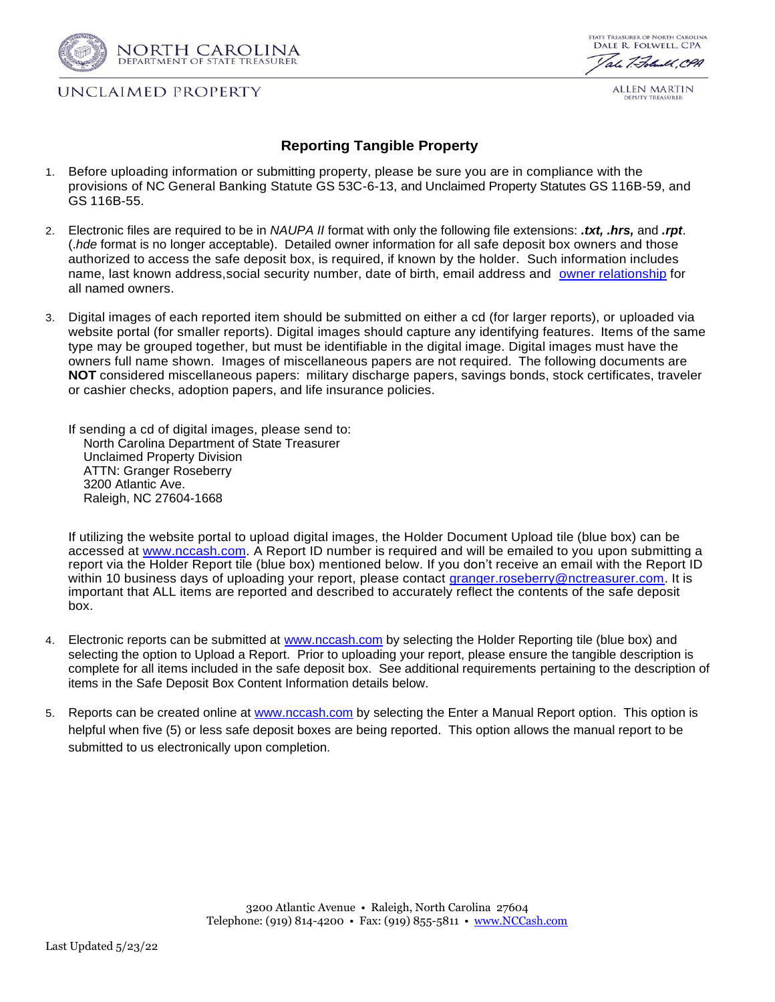

## UNCLAIMED PROPERTY

**STATE TREASURER OF NORTH CAROLINA** DALE R. FOLWELL, CPA ale 7. Folumel, CPA

ALLEN MARTIN

## **Reporting Tangible Property**

- 1. Before uploading information or submitting property, please be sure you are in compliance with the provisions of NC General Banking Statute GS 53C-6-13, and Unclaimed Property Statutes GS 116B-59, and GS 116B-55.
- 2. Electronic files are required to be in *NAUPA II* format with only the following file extensions: *.txt, .hrs,* and *.rpt*. (.*hde* format is no longer acceptable). Detailed owner information for all safe deposit box owners and those authorized to access the safe deposit box, is required, if known by the holder. Such information includes name, last known address,social security number, date of birth, email address and owner [relationship](https://files.nc.gov/nccash/documents/forms-and-guides/owner_relationship_codes.pdf) for all named owners.
- 3. Digital images of each reported item should be submitted on either a cd (for larger reports), or uploaded via website portal (for smaller reports). Digital images should capture any identifying features. Items of the same type may be grouped together, but must be identifiable in the digital image. Digital images must have the owners full name shown. Images of miscellaneous papers are not required. The following documents are **NOT** considered miscellaneous papers: military discharge papers, savings bonds, stock certificates, traveler or cashier checks, adoption papers, and life insurance policies.

If sending a cd of digital images, please send to: North Carolina Department of State Treasurer Unclaimed Property Division ATTN: Granger Roseberry 3200 Atlantic Ave. Raleigh, NC 27604-1668

If utilizing the website portal to upload digital images, the Holder Document Upload tile (blue box) can be accessed at [www.nccash.com.](https://www.nccash.com/) A Report ID number is required and will be emailed to you upon submitting a report via the Holder Report tile (blue box) mentioned below. If you don't receive an email with the Report ID within 10 business days of uploading your report, please contact [granger.roseberry@nctreasurer.com.](mailto:granger.roseberry@nctreasurer.com) It is important that ALL items are reported and described to accurately reflect the contents of the safe deposit box.

- 4. Electronic reports can be submitted at [www.nccash.com](http://www.nccash.com/) by selecting the Holder Reporting tile (blue box) and selecting the option to Upload a Report. Prior to uploading your report, please ensure the tangible description is complete for all items included in the safe deposit box. See additional requirements pertaining to the description of items in the Safe Deposit Box Content Information details below.
- 5. Reports can be created online at [www.nccash.com](http://www.nccash.com/) by selecting the Enter a Manual Report option. This option is helpful when five (5) or less safe deposit boxes are being reported. This option allows the manual report to be submitted to us electronically upon completion.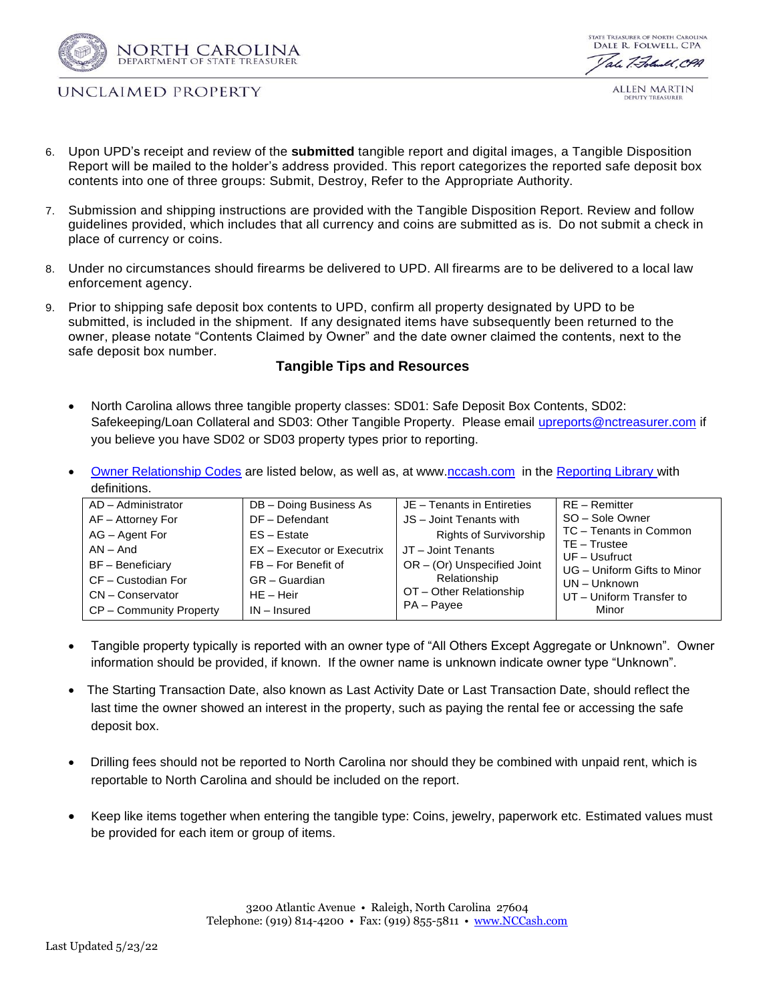



UNCLAIMED PROPERTY

ALLEN MARTIN

- 6. Upon UPD's receipt and review of the **submitted** tangible report and digital images, a Tangible Disposition Report will be mailed to the holder's address provided. This report categorizes the reported safe deposit box contents into one of three groups: Submit, Destroy, Refer to the Appropriate Authority.
- 7. Submission and shipping instructions are provided with the Tangible Disposition Report. Review and follow guidelines provided, which includes that all currency and coins are submitted as is. Do not submit a check in place of currency or coins.
- 8. Under no circumstances should firearms be delivered to UPD. All firearms are to be delivered to a local law enforcement agency.
- 9. Prior to shipping safe deposit box contents to UPD, confirm all property designated by UPD to be submitted, is included in the shipment. If any designated items have subsequently been returned to the owner, please notate "Contents Claimed by Owner" and the date owner claimed the contents, next to the safe deposit box number.

## **Tangible Tips and Resources**

- North Carolina allows three tangible property classes: SD01: Safe Deposit Box Contents, SD02: Safekeeping/Loan Collateral and SD03: Other Tangible Property. Please email [upreports@nctreasurer.com](mailto:upreports@nctreasurer.com) if you believe you have SD02 or SD03 property types prior to reporting.
- [Owner Relationship Codes](https://www.nccash.com/owner-relationship-codes-0/open) are listed below, as well as, at www[.nccash.com](https://www.nccash.com/holder-information-and-reporting/reporting-library) in the [Reporting Library](https://www.nccash.com/holder-information-and-reporting/reporting-library) with definitions.

| AD - Administrator      | DB - Doing Business As     | JE - Tenants in Entireties    | RE - Remitter                 |
|-------------------------|----------------------------|-------------------------------|-------------------------------|
| AF - Attorney For       | DF - Defendant             | JS - Joint Tenants with       | SO - Sole Owner               |
| AG - Agent For          | $ES - Estate$              | <b>Rights of Survivorship</b> | TC - Tenants in Common        |
| $AN - And$              | EX - Executor or Executrix | JT - Joint Tenants            | $TE - Trustee$<br>UF-Usufruct |
| <b>BF</b> – Beneficiary | FB - For Benefit of        | $OR - (Or)$ Unspecified Joint | UG - Uniform Gifts to Minor   |
| CF - Custodian For      | GR - Guardian              | Relationship                  | UN - Unknown                  |
| CN - Conservator        | $HE - Heir$                | OT - Other Relationship       | UT - Uniform Transfer to      |
| CP - Community Property | $IN$ – Insured             | PA - Payee                    | Minor                         |

- Tangible property typically is reported with an owner type of "All Others Except Aggregate or Unknown". Owner information should be provided, if known. If the owner name is unknown indicate owner type "Unknown".
- The Starting Transaction Date, also known as Last Activity Date or Last Transaction Date, should reflect the last time the owner showed an interest in the property, such as paying the rental fee or accessing the safe deposit box.
- Drilling fees should not be reported to North Carolina nor should they be combined with unpaid rent, which is reportable to North Carolina and should be included on the report.
- Keep like items together when entering the tangible type: Coins, jewelry, paperwork etc. Estimated values must be provided for each item or group of items.